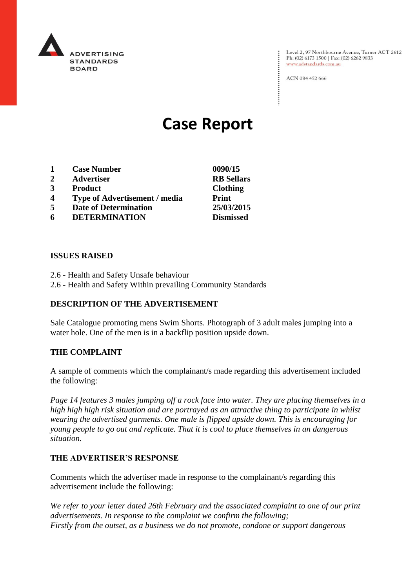

Level 2, 97 Northbourne Avenue, Turner ACT 2612<br>Ph: (02) 6173 1500 | Fax: (02) 6262 9833 www.adstandards.com.au

ACN 084 452 666

# **Case Report**

- **1 Case Number 0090/15**
- **2 Advertiser RB Sellars**
- **3 Product Clothing**
- **4 Type of Advertisement / media Print**
- **5 Date of Determination 25/03/2015**
- **6 DETERMINATION Dismissed**

### **ISSUES RAISED**

- 2.6 Health and Safety Unsafe behaviour
- 2.6 Health and Safety Within prevailing Community Standards

## **DESCRIPTION OF THE ADVERTISEMENT**

Sale Catalogue promoting mens Swim Shorts. Photograph of 3 adult males jumping into a water hole. One of the men is in a backflip position upside down.

#### **THE COMPLAINT**

A sample of comments which the complainant/s made regarding this advertisement included the following:

*Page 14 features 3 males jumping off a rock face into water. They are placing themselves in a high high high risk situation and are portrayed as an attractive thing to participate in whilst wearing the advertised garments. One male is flipped upside down. This is encouraging for young people to go out and replicate. That it is cool to place themselves in an dangerous situation.* 

## **THE ADVERTISER'S RESPONSE**

Comments which the advertiser made in response to the complainant/s regarding this advertisement include the following:

*We refer to your letter dated 26th February and the associated complaint to one of our print advertisements. In response to the complaint we confirm the following; Firstly from the outset, as a business we do not promote, condone or support dangerous*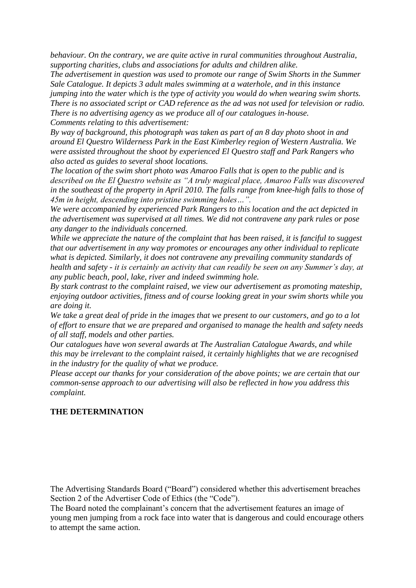*behaviour. On the contrary, we are quite active in rural communities throughout Australia, supporting charities, clubs and associations for adults and children alike.*

*The advertisement in question was used to promote our range of Swim Shorts in the Summer Sale Catalogue. It depicts 3 adult males swimming at a waterhole, and in this instance jumping into the water which is the type of activity you would do when wearing swim shorts. There is no associated script or CAD reference as the ad was not used for television or radio. There is no advertising agency as we produce all of our catalogues in-house. Comments relating to this advertisement:*

*By way of background, this photograph was taken as part of an 8 day photo shoot in and around El Questro Wilderness Park in the East Kimberley region of Western Australia. We were assisted throughout the shoot by experienced El Questro staff and Park Rangers who also acted as guides to several shoot locations.*

*The location of the swim short photo was Amaroo Falls that is open to the public and is described on the El Questro website as "A truly magical place, Amaroo Falls was discovered in the southeast of the property in April 2010. The falls range from knee-high falls to those of 45m in height, descending into pristine swimming holes…".*

*We were accompanied by experienced Park Rangers to this location and the act depicted in the advertisement was supervised at all times. We did not contravene any park rules or pose any danger to the individuals concerned.*

*While we appreciate the nature of the complaint that has been raised, it is fanciful to suggest that our advertisement in any way promotes or encourages any other individual to replicate what is depicted. Similarly, it does not contravene any prevailing community standards of health and safety - it is certainly an activity that can readily be seen on any Summer's day, at any public beach, pool, lake, river and indeed swimming hole.*

*By stark contrast to the complaint raised, we view our advertisement as promoting mateship, enjoying outdoor activities, fitness and of course looking great in your swim shorts while you are doing it.*

*We take a great deal of pride in the images that we present to our customers, and go to a lot of effort to ensure that we are prepared and organised to manage the health and safety needs of all staff, models and other parties.*

*Our catalogues have won several awards at The Australian Catalogue Awards, and while this may be irrelevant to the complaint raised, it certainly highlights that we are recognised in the industry for the quality of what we produce.*

*Please accept our thanks for your consideration of the above points; we are certain that our common-sense approach to our advertising will also be reflected in how you address this complaint.*

## **THE DETERMINATION**

The Advertising Standards Board ("Board") considered whether this advertisement breaches Section 2 of the Advertiser Code of Ethics (the "Code").

The Board noted the complainant's concern that the advertisement features an image of young men jumping from a rock face into water that is dangerous and could encourage others to attempt the same action.